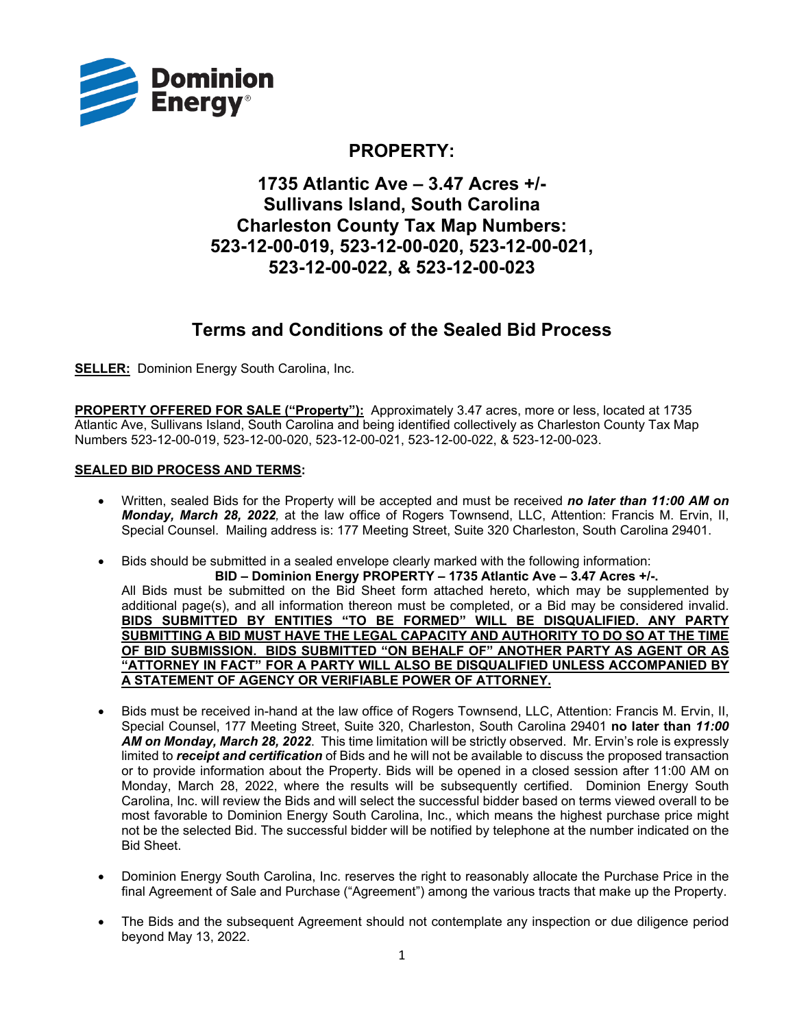

### **PROPERTY:**

## **1735 Atlantic Ave – 3.47 Acres +/- Sullivans Island, South Carolina Charleston County Tax Map Numbers: 523-12-00-019, 523-12-00-020, 523-12-00-021, 523-12-00-022, & 523-12-00-023**

# **Terms and Conditions of the Sealed Bid Process**

**SELLER:** Dominion Energy South Carolina, Inc.

**PROPERTY OFFERED FOR SALE ("Property"):** Approximately 3.47 acres, more or less, located at 1735 Atlantic Ave, Sullivans Island, South Carolina and being identified collectively as Charleston County Tax Map Numbers 523-12-00-019, 523-12-00-020, 523-12-00-021, 523-12-00-022, & 523-12-00-023.

### **SEALED BID PROCESS AND TERMS:**

- Written, sealed Bids for the Property will be accepted and must be received *no later than 11:00 AM on Monday, March 28, 2022,* at the law office of Rogers Townsend, LLC, Attention: Francis M. Ervin, II, Special Counsel. Mailing address is: 177 Meeting Street, Suite 320 Charleston, South Carolina 29401.
- Bids should be submitted in a sealed envelope clearly marked with the following information:

**BID – Dominion Energy PROPERTY – 1735 Atlantic Ave – 3.47 Acres +/-.** All Bids must be submitted on the Bid Sheet form attached hereto, which may be supplemented by additional page(s), and all information thereon must be completed, or a Bid may be considered invalid. **BIDS SUBMITTED BY ENTITIES "TO BE FORMED" WILL BE DISQUALIFIED. ANY PARTY SUBMITTING A BID MUST HAVE THE LEGAL CAPACITY AND AUTHORITY TO DO SO AT THE TIME OF BID SUBMISSION. BIDS SUBMITTED "ON BEHALF OF" ANOTHER PARTY AS AGENT OR AS "ATTORNEY IN FACT" FOR A PARTY WILL ALSO BE DISQUALIFIED UNLESS ACCOMPANIED BY A STATEMENT OF AGENCY OR VERIFIABLE POWER OF ATTORNEY.**

- Bids must be received in-hand at the law office of Rogers Townsend, LLC, Attention: Francis M. Ervin, II, Special Counsel, 177 Meeting Street, Suite 320, Charleston, South Carolina 29401 **no later than** *11:00 AM on Monday, March 28, 2022*. This time limitation will be strictly observed. Mr. Ervin's role is expressly limited to *receipt and certification* of Bids and he will not be available to discuss the proposed transaction or to provide information about the Property. Bids will be opened in a closed session after 11:00 AM on Monday, March 28, 2022, where the results will be subsequently certified. Dominion Energy South Carolina, Inc. will review the Bids and will select the successful bidder based on terms viewed overall to be most favorable to Dominion Energy South Carolina, Inc., which means the highest purchase price might not be the selected Bid. The successful bidder will be notified by telephone at the number indicated on the Bid Sheet.
- Dominion Energy South Carolina, Inc. reserves the right to reasonably allocate the Purchase Price in the final Agreement of Sale and Purchase ("Agreement") among the various tracts that make up the Property.
- The Bids and the subsequent Agreement should not contemplate any inspection or due diligence period beyond May 13, 2022.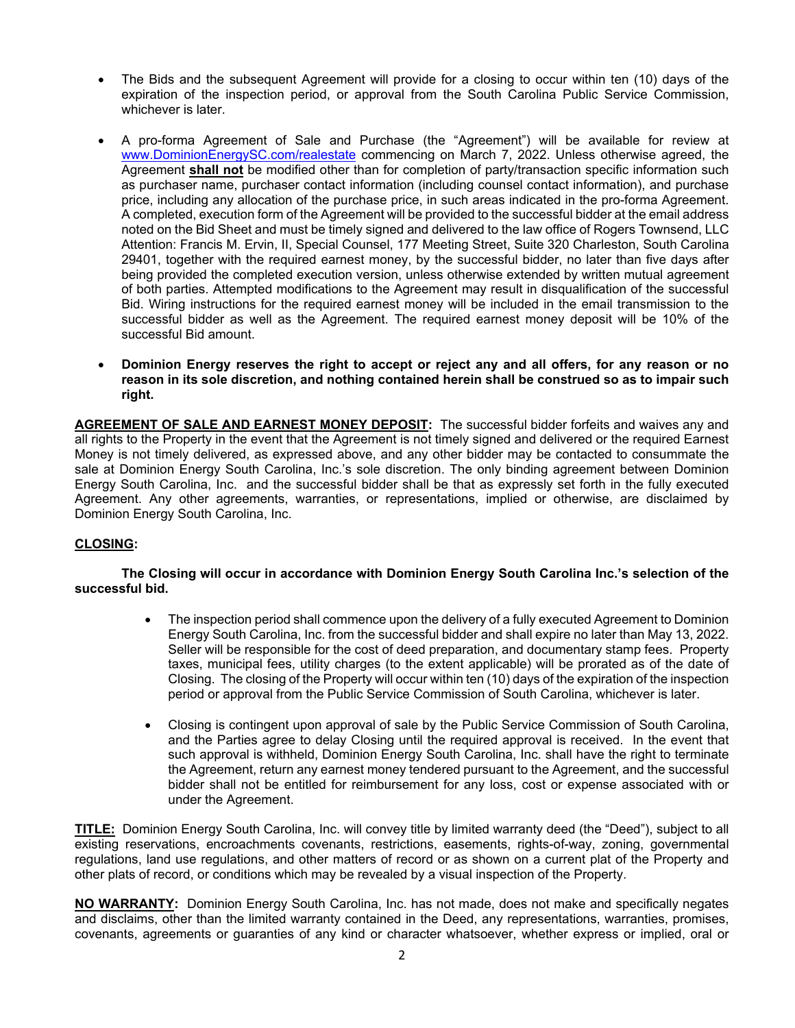- The Bids and the subsequent Agreement will provide for a closing to occur within ten (10) days of the expiration of the inspection period, or approval from the South Carolina Public Service Commission, whichever is later.
- A pro-forma Agreement of Sale and Purchase (the "Agreement") will be available for review at www.DominionEnergySC.com/realestate commencing on March 7, 2022. Unless otherwise agreed, the Agreement **shall not** be modified other than for completion of party/transaction specific information such as purchaser name, purchaser contact information (including counsel contact information), and purchase price, including any allocation of the purchase price, in such areas indicated in the pro-forma Agreement. A completed, execution form of the Agreement will be provided to the successful bidder at the email address noted on the Bid Sheet and must be timely signed and delivered to the law office of Rogers Townsend, LLC Attention: Francis M. Ervin, II, Special Counsel, 177 Meeting Street, Suite 320 Charleston, South Carolina 29401, together with the required earnest money, by the successful bidder, no later than five days after being provided the completed execution version, unless otherwise extended by written mutual agreement of both parties. Attempted modifications to the Agreement may result in disqualification of the successful Bid. Wiring instructions for the required earnest money will be included in the email transmission to the successful bidder as well as the Agreement. The required earnest money deposit will be 10% of the successful Bid amount.
- **Dominion Energy reserves the right to accept or reject any and all offers, for any reason or no reason in its sole discretion, and nothing contained herein shall be construed so as to impair such right.**

**AGREEMENT OF SALE AND EARNEST MONEY DEPOSIT:** The successful bidder forfeits and waives any and all rights to the Property in the event that the Agreement is not timely signed and delivered or the required Earnest Money is not timely delivered, as expressed above, and any other bidder may be contacted to consummate the sale at Dominion Energy South Carolina, Inc.'s sole discretion. The only binding agreement between Dominion Energy South Carolina, Inc. and the successful bidder shall be that as expressly set forth in the fully executed Agreement. Any other agreements, warranties, or representations, implied or otherwise, are disclaimed by Dominion Energy South Carolina, Inc.

#### **CLOSING:**

#### **The Closing will occur in accordance with Dominion Energy South Carolina Inc.'s selection of the successful bid.**

- The inspection period shall commence upon the delivery of a fully executed Agreement to Dominion Energy South Carolina, Inc. from the successful bidder and shall expire no later than May 13, 2022. Seller will be responsible for the cost of deed preparation, and documentary stamp fees. Property taxes, municipal fees, utility charges (to the extent applicable) will be prorated as of the date of Closing. The closing of the Property will occur within ten (10) days of the expiration of the inspection period or approval from the Public Service Commission of South Carolina, whichever is later.
- Closing is contingent upon approval of sale by the Public Service Commission of South Carolina, and the Parties agree to delay Closing until the required approval is received. In the event that such approval is withheld, Dominion Energy South Carolina, Inc. shall have the right to terminate the Agreement, return any earnest money tendered pursuant to the Agreement, and the successful bidder shall not be entitled for reimbursement for any loss, cost or expense associated with or under the Agreement.

**TITLE:** Dominion Energy South Carolina, Inc. will convey title by limited warranty deed (the "Deed"), subject to all existing reservations, encroachments covenants, restrictions, easements, rights-of-way, zoning, governmental regulations, land use regulations, and other matters of record or as shown on a current plat of the Property and other plats of record, or conditions which may be revealed by a visual inspection of the Property.

**NO WARRANTY:** Dominion Energy South Carolina, Inc. has not made, does not make and specifically negates and disclaims, other than the limited warranty contained in the Deed, any representations, warranties, promises, covenants, agreements or guaranties of any kind or character whatsoever, whether express or implied, oral or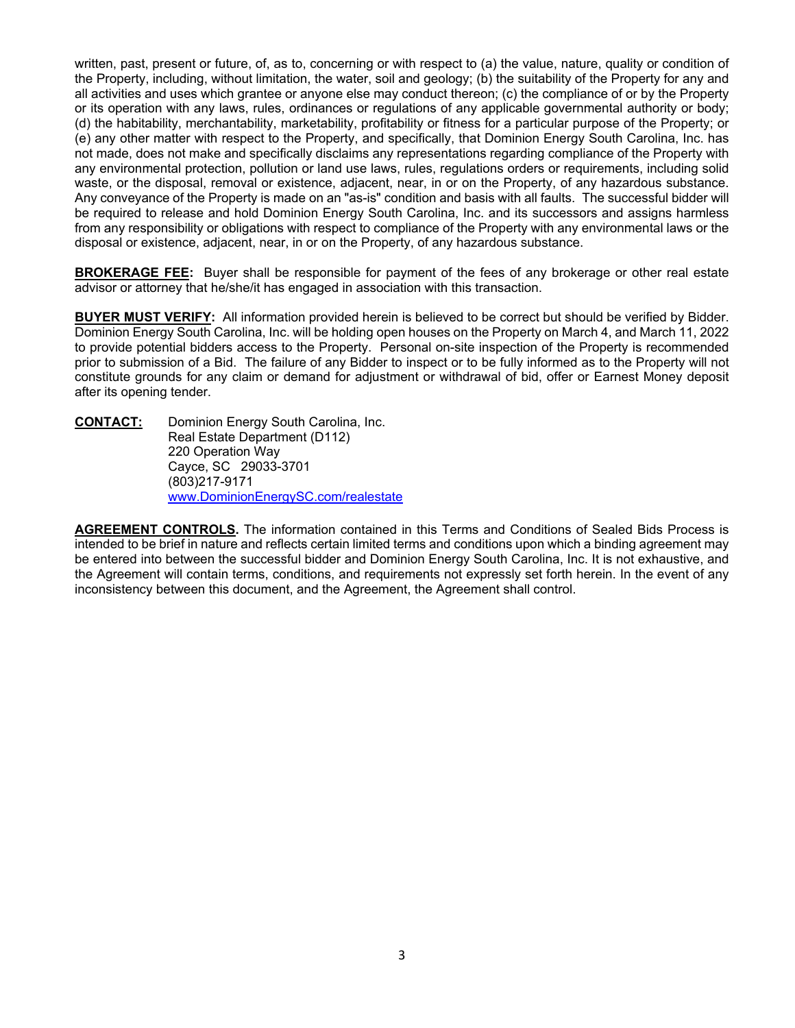written, past, present or future, of, as to, concerning or with respect to (a) the value, nature, quality or condition of the Property, including, without limitation, the water, soil and geology; (b) the suitability of the Property for any and all activities and uses which grantee or anyone else may conduct thereon; (c) the compliance of or by the Property or its operation with any laws, rules, ordinances or regulations of any applicable governmental authority or body; (d) the habitability, merchantability, marketability, profitability or fitness for a particular purpose of the Property; or (e) any other matter with respect to the Property, and specifically, that Dominion Energy South Carolina, Inc. has not made, does not make and specifically disclaims any representations regarding compliance of the Property with any environmental protection, pollution or land use laws, rules, regulations orders or requirements, including solid waste, or the disposal, removal or existence, adjacent, near, in or on the Property, of any hazardous substance. Any conveyance of the Property is made on an "as-is" condition and basis with all faults. The successful bidder will be required to release and hold Dominion Energy South Carolina, Inc. and its successors and assigns harmless from any responsibility or obligations with respect to compliance of the Property with any environmental laws or the disposal or existence, adjacent, near, in or on the Property, of any hazardous substance.

**BROKERAGE FEE:** Buyer shall be responsible for payment of the fees of any brokerage or other real estate advisor or attorney that he/she/it has engaged in association with this transaction.

**BUYER MUST VERIFY:** All information provided herein is believed to be correct but should be verified by Bidder. Dominion Energy South Carolina, Inc. will be holding open houses on the Property on March 4, and March 11, 2022 to provide potential bidders access to the Property. Personal on-site inspection of the Property is recommended prior to submission of a Bid. The failure of any Bidder to inspect or to be fully informed as to the Property will not constitute grounds for any claim or demand for adjustment or withdrawal of bid, offer or Earnest Money deposit after its opening tender.

**CONTACT:** Dominion Energy South Carolina, Inc. Real Estate Department (D112) 220 Operation Way Cayce, SC 29033-3701 (803)217-9171 www.DominionEnergySC.com/realestate

**AGREEMENT CONTROLS.** The information contained in this Terms and Conditions of Sealed Bids Process is intended to be brief in nature and reflects certain limited terms and conditions upon which a binding agreement may be entered into between the successful bidder and Dominion Energy South Carolina, Inc. It is not exhaustive, and the Agreement will contain terms, conditions, and requirements not expressly set forth herein. In the event of any inconsistency between this document, and the Agreement, the Agreement shall control.